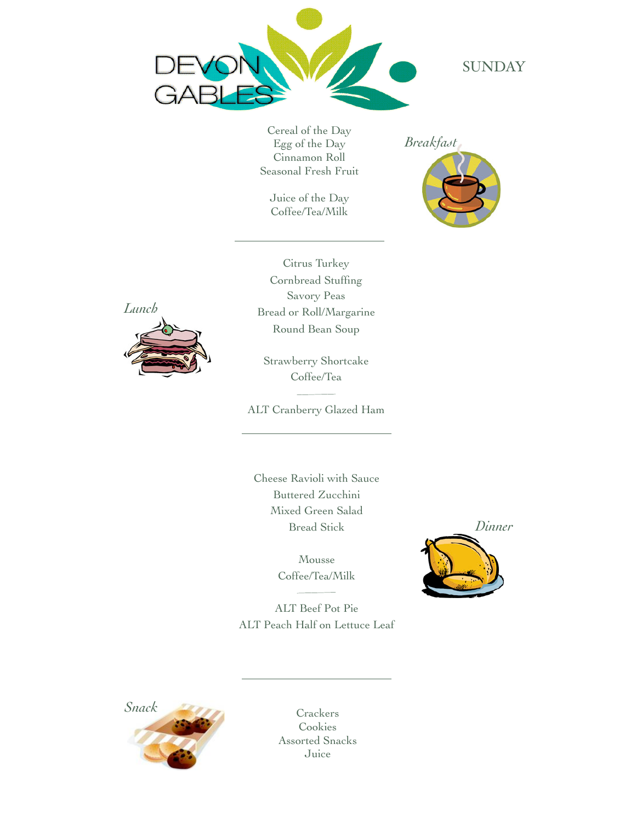

**SUNDAY** 

Cereal of the Day Egg of the Day Cinnamon Roll Seasonal Fresh Fruit

Juice of the Day Coffee/Tea/Milk

*Breakfast*





Citrus Turkey Cornbread Stuffing Savory Peas Bread or Roll/Margarine Round Bean Soup

Strawberry Shortcake Coffee/Tea

ALT Cranberry Glazed Ham

Cheese Ravioli with Sauce Buttered Zucchini Mixed Green Salad Bread Stick

> Mousse Coffee/Tea/Milk

*Dinner*

ALT Beef Pot Pie ALT Peach Half on Lettuce Leaf



Cookies Assorted Snacks Juice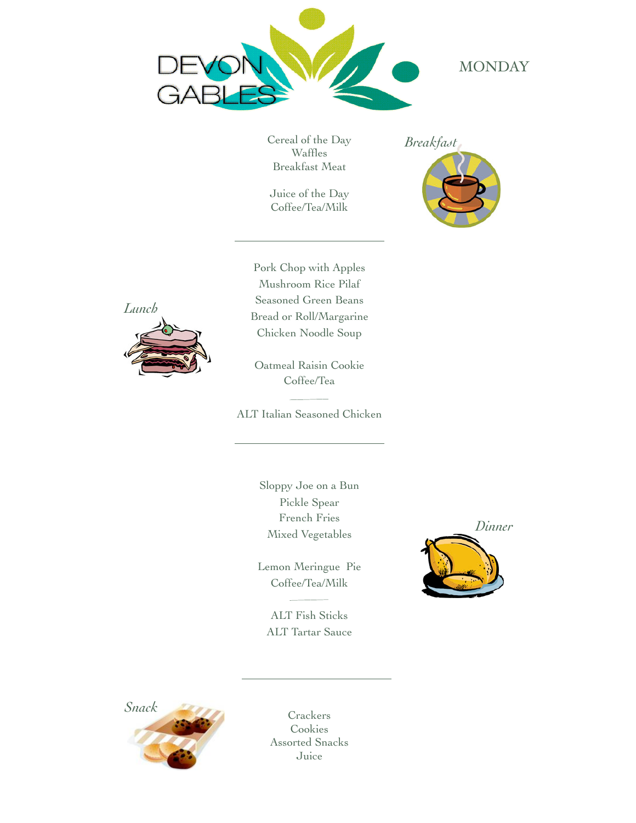

# **MONDAY**

Cereal of the Day Waffles Breakfast Meat

Juice of the Day Coffee/Tea/Milk







Pork Chop with Apples Mushroom Rice Pilaf Seasoned Green Beans Bread or Roll/Margarine Chicken Noodle Soup

Oatmeal Raisin Cookie Coffee/Tea

ALT Italian Seasoned Chicken

Sloppy Joe on a Bun Pickle Spear French Fries Mixed Vegetables

Lemon Meringue Pie Coffee/Tea/Milk

ALT Fish Sticks ALT Tartar Sauce



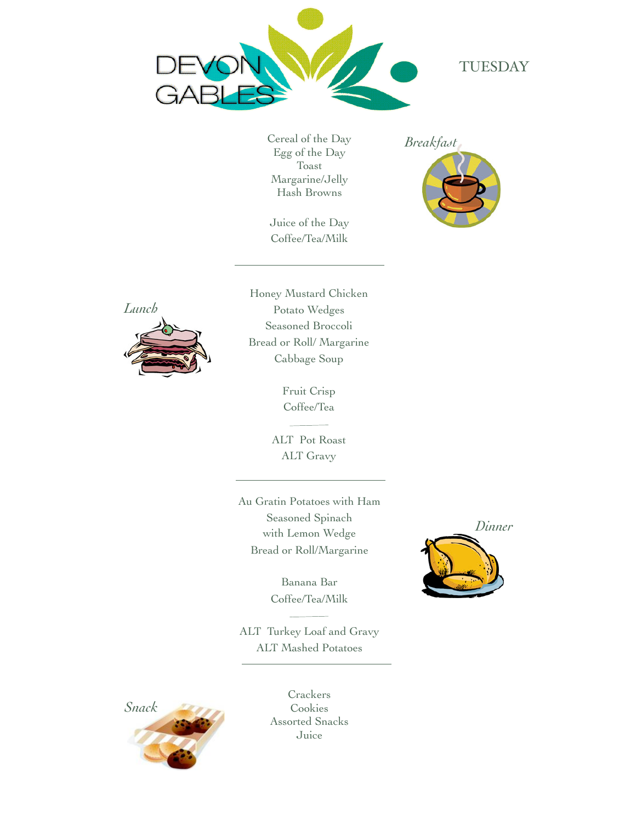

#### TUESDAY

Cereal of the Day Egg of the Day Toast Margarine/Jelly Hash Browns

Juice of the Day Coffee/Tea/Milk

*Breakfast*





Honey Mustard Chicken Potato Wedges Seasoned Broccoli Bread or Roll/ Margarine Cabbage Soup

> Fruit Crisp Coffee/Tea

> > $\sim 10^{-10}$

ALT Pot Roast ALT Gravy

Au Gratin Potatoes with Ham Seasoned Spinach with Lemon Wedge Bread or Roll/Margarine

> Banana Bar Coffee/Tea/Milk

ALT Turkey Loaf and Gravy ALT Mashed Potatoes



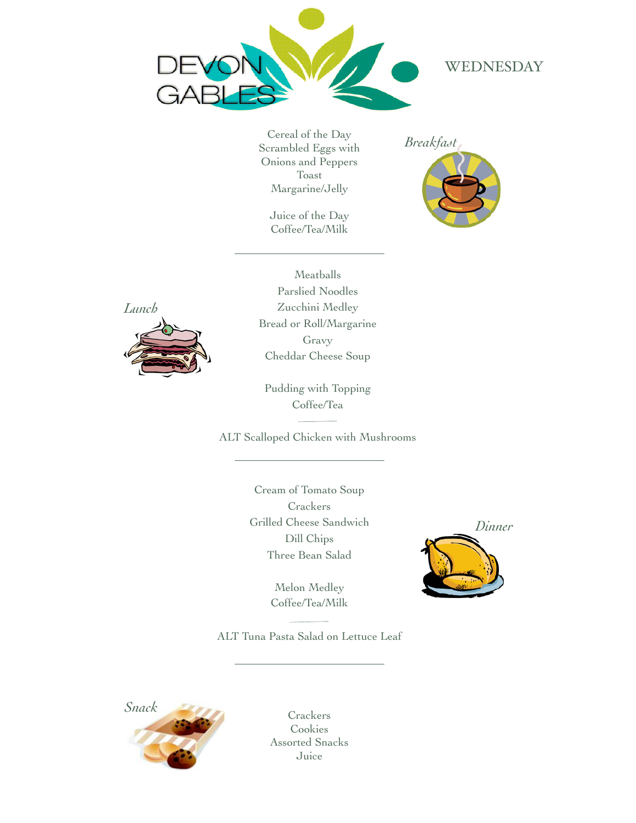

## WEDNESDAY

Cereal of the Day Scrambled Eggs with Onions and Peppers Toast Margarine/Jelly

> Juice of the Day Coffee/Tea/Milk

*Breakfast*





Meatballs Parslied Noodles Zucchini Medley Bread or Roll/Margarine Gravy Cheddar Cheese Soup

Pudding with Topping Coffee/Tea

ALT Scalloped Chicken with Mushrooms

Cream of Tomato Soup **Crackers** Grilled Cheese Sandwich Dill Chips Three Bean Salad

> Melon Medley Coffee/Tea/Milk



ALT Tuna Pasta Salad on Lettuce Leaf

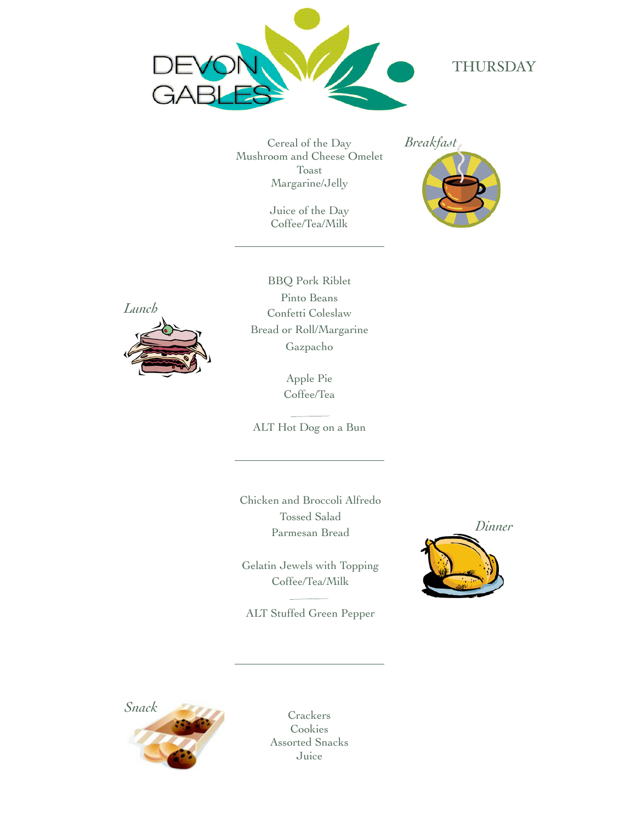

# THURSDAY

Cereal of the Day Mushroom and Cheese Omelet Toast Margarine/Jelly

> Juice of the Day Coffee/Tea/Milk





BBQ Pork Riblet Pinto Beans Confetti Coleslaw Bread or Roll/Margarine Gazpacho

> Apple Pie Coffee/Tea

ALT Hot Dog on a Bun

Chicken and Broccoli Alfredo Tossed Salad Parmesan Bread

Gelatin Jewels with Topping Coffee/Tea/Milk

ALT Stuffed Green Pepper



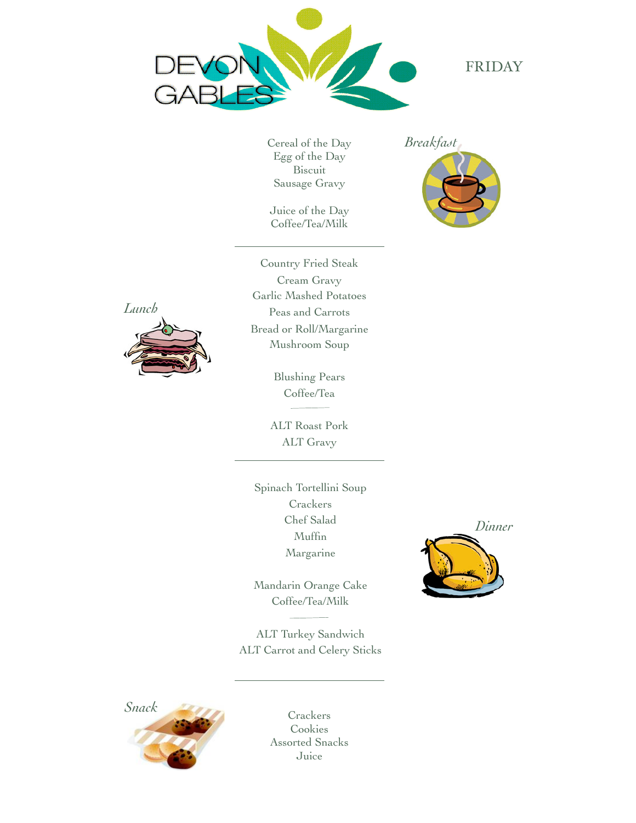

## FRIDAY

Cereal of the Day Egg of the Day Biscuit Sausage Gravy

Juice of the Day Coffee/Tea/Milk

*Breakfast*





Country Fried Steak Cream Gravy Garlic Mashed Potatoes Peas and Carrots Bread or Roll/Margarine Mushroom Soup

> Blushing Pears Coffee/Tea

ALT Roast Pork ALT Gravy

Spinach Tortellini Soup **Crackers** Chef Salad Muffin Margarine

Mandarin Orange Cake Coffee/Tea/Milk

ALT Turkey Sandwich ALT Carrot and Celery Sticks